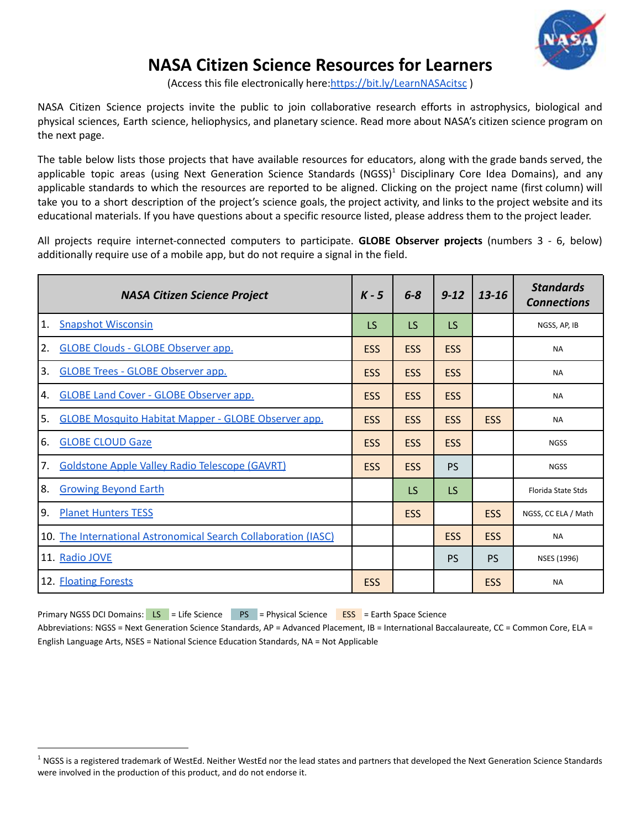

# **NASA Citizen Science Resources for Learners**

(Access this file electronically here:[https://bit.ly/LearnNASAcitsc](https://bit.ly/LearnNASAcitsci) )

NASA Citizen Science projects invite the public to join collaborative research efforts in astrophysics, biological and physical sciences, Earth science, heliophysics, and planetary science. Read more about NASA's citizen science program on the next page.

The table below lists those projects that have available resources for educators, along with the grade bands served, the applicable topic areas (using Next Generation Science Standards (NGSS)<sup>1</sup> Disciplinary Core Idea Domains), and any applicable standards to which the resources are reported to be aligned. Clicking on the project name (first column) will take you to a short description of the project's science goals, the project activity, and links to the project website and its educational materials. If you have questions about a specific resource listed, please address them to the project leader.

All projects require internet-connected computers to participate. **GLOBE Observer projects** (numbers 3 - 6, below) additionally require use of a mobile app, but do not require a signal in the field.

<span id="page-0-0"></span>

|    | <b>NASA Citizen Science Project</b>                            | $K - 5$    | $6 - 8$    | $9 - 12$   | 13-16      | <b>Standards</b><br><b>Connections</b> |
|----|----------------------------------------------------------------|------------|------------|------------|------------|----------------------------------------|
| 1. | <b>Snapshot Wisconsin</b>                                      | <b>LS</b>  | <b>LS</b>  | <b>LS</b>  |            | NGSS, AP, IB                           |
| 2. | <b>GLOBE Clouds - GLOBE Observer app.</b>                      | <b>ESS</b> | <b>ESS</b> | <b>ESS</b> |            | <b>NA</b>                              |
| 3. | <b>GLOBE Trees - GLOBE Observer app.</b>                       | <b>ESS</b> | <b>ESS</b> | <b>ESS</b> |            | <b>NA</b>                              |
| 4. | <b>GLOBE Land Cover - GLOBE Observer app.</b>                  | <b>ESS</b> | <b>ESS</b> | <b>ESS</b> |            | <b>NA</b>                              |
| 5. | <b>GLOBE Mosquito Habitat Mapper - GLOBE Observer app.</b>     | <b>ESS</b> | <b>ESS</b> | <b>ESS</b> | <b>ESS</b> | <b>NA</b>                              |
| 6. | <b>GLOBE CLOUD Gaze</b>                                        | <b>ESS</b> | <b>ESS</b> | <b>ESS</b> |            | <b>NGSS</b>                            |
| 7. | <b>Goldstone Apple Valley Radio Telescope (GAVRT)</b>          | <b>ESS</b> | <b>ESS</b> | <b>PS</b>  |            | <b>NGSS</b>                            |
| 8. | <b>Growing Beyond Earth</b>                                    |            | LS         | <b>LS</b>  |            | Florida State Stds                     |
| 9. | <b>Planet Hunters TESS</b>                                     |            | <b>ESS</b> |            | <b>ESS</b> | NGSS, CC ELA / Math                    |
|    | 10. The International Astronomical Search Collaboration (IASC) |            |            | <b>ESS</b> | <b>ESS</b> | <b>NA</b>                              |
|    | 11. Radio JOVE                                                 |            |            | <b>PS</b>  | <b>PS</b>  | NSES (1996)                            |
|    | 12. <b>Floating Forests</b>                                    | <b>ESS</b> |            |            | <b>ESS</b> | <b>NA</b>                              |

Primary NGSS DCI Domains: LS = Life Science PS = Physical Science ESS = Earth Space Science Abbreviations: NGSS = Next Generation Science Standards, AP = Advanced Placement, IB = International Baccalaureate, CC = Common Core, ELA =

English Language Arts, NSES = National Science Education Standards, NA = Not Applicable

 $1$  NGSS is a registered trademark of WestEd. Neither WestEd nor the lead states and partners that developed the Next Generation Science Standards were involved in the production of this product, and do not endorse it.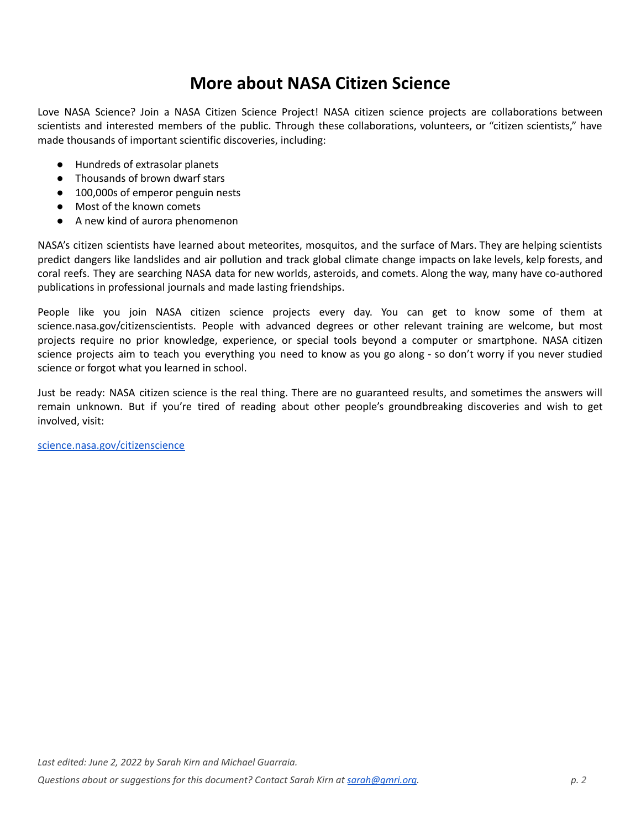# **More about NASA Citizen Science**

Love NASA Science? Join a NASA Citizen Science Project! NASA citizen science projects are collaborations between scientists and interested members of the public. Through these collaborations, volunteers, or "citizen scientists," have made thousands of important scientific discoveries, including:

- Hundreds of extrasolar planets
- Thousands of brown dwarf stars
- 100,000s of emperor penguin nests
- Most of the known comets
- A new kind of aurora phenomenon

NASA's citizen scientists have learned about meteorites, mosquitos, and the surface of Mars. They are helping scientists predict dangers like landslides and air pollution and track global climate change impacts on lake levels, kelp forests, and coral reefs. They are searching NASA data for new worlds, asteroids, and comets. Along the way, many have co-authored publications in professional journals and made lasting friendships.

People like you join NASA citizen science projects every day. You can get to know some of them at science.nasa.gov/citizenscientists. People with advanced degrees or other relevant training are welcome, but most projects require no prior knowledge, experience, or special tools beyond a computer or smartphone. NASA citizen science projects aim to teach you everything you need to know as you go along - so don't worry if you never studied science or forgot what you learned in school.

Just be ready: NASA citizen science is the real thing. There are no guaranteed results, and sometimes the answers will remain unknown. But if you're tired of reading about other people's groundbreaking discoveries and wish to get involved, visit:

[science.nasa.gov/citizenscience](https://science.nasa.gov/citizenscience).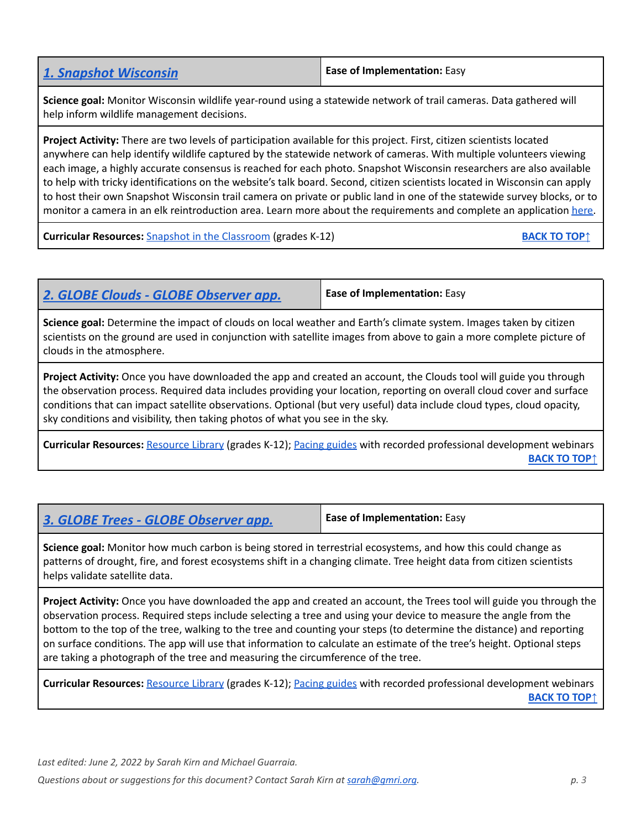<span id="page-2-0"></span>

| <b>1. Snapshot Wisconsin</b> | <b>Ease of Implementation: Easy</b> |
|------------------------------|-------------------------------------|
|------------------------------|-------------------------------------|

**Science goal:** Monitor Wisconsin wildlife year-round using a statewide network of trail cameras. Data gathered will help inform wildlife management decisions.

**Project Activity:** There are two levels of participation available for this project. First, citizen scientists located anywhere can help identify wildlife captured by the statewide network of cameras. With multiple volunteers viewing each image, a highly accurate consensus is reached for each photo. Snapshot Wisconsin researchers are also available to help with tricky identifications on the website's talk board. Second, citizen scientists located in Wisconsin can apply to host their own Snapshot Wisconsin trail camera on private or public land in one of the statewide survey blocks, or to monitor a camera in an elk reintroduction area. Learn more about the requirements and complete an application [here.](https://dnr.wisconsin.gov/topic/Research/ApplyHostTrailCamera)

**Curricular Resources:** Snapshot in the [Classroom](https://dnr.wisconsin.gov/topic/research/projects/snapshot/intheclassroom.html) (grades K-12) **[BACK](#page-0-0) BACK BACK BACK BACK B** 

<span id="page-2-1"></span>

| 2. GLOBE Clouds - GLOBE Observer app. | <b>Ease of Implementation: Easy</b> |
|---------------------------------------|-------------------------------------|
|                                       |                                     |

**Science goal:** Determine the impact of clouds on local weather and Earth's climate system. Images taken by citizen scientists on the ground are used in conjunction with satellite images from above to gain a more complete picture of clouds in the atmosphere.

**Project Activity:** Once you have downloaded the app and created an account, the Clouds tool will guide you through the observation process. Required data includes providing your location, reporting on overall cloud cover and surface conditions that can impact satellite observations. Optional (but very useful) data include cloud types, cloud opacity, sky conditions and visibility, then taking photos of what you see in the sky.

**Curricular Resources:** [Resource](https://observer.globe.gov/do-globe-observer/clouds/resource-library) Library (grades K-12); Pacing [guides](https://www.globe.gov/web/nasa-langley-research-center/home/resources) with recorded professional development webinars **[BACK](#page-0-0) TO TOP↑**

<span id="page-2-2"></span>

| 3. GLOBE Trees - GLOBE Observer app.                                                                                                                                                                                                                                      | <b>Ease of Implementation: Easy</b> |
|---------------------------------------------------------------------------------------------------------------------------------------------------------------------------------------------------------------------------------------------------------------------------|-------------------------------------|
| Science goal: Monitor how much carbon is being stored in terrestrial ecosystems, and how this could change as<br>patterns of drought, fire, and forest ecosystems shift in a changing climate. Tree height data from citizen scientists<br>helps validate satellite data. |                                     |

**Project Activity:** Once you have downloaded the app and created an account, the Trees tool will guide you through the observation process. Required steps include selecting a tree and using your device to measure the angle from the bottom to the top of the tree, walking to the tree and counting your steps (to determine the distance) and reporting on surface conditions. The app will use that information to calculate an estimate of the tree's height. Optional steps are taking a photograph of the tree and measuring the circumference of the tree.

**Curricular Resources:** [Resource](https://observer.globe.gov/do-globe-observer/trees/resource-library) Library (grades K-12); Pacing [guides](https://www.globe.gov/web/nasa-langley-research-center/home/resources) with recorded professional development webinars **[BACK](#page-0-0) TO TOP↑**

*Last edited: June 2, 2022 by Sarah Kirn and Michael Guarraia.*

*Questions about or suggestions for this document? Contact Sarah Kirn at [sarah@gmri.org](mailto:sarah@gmri.org). p. 3*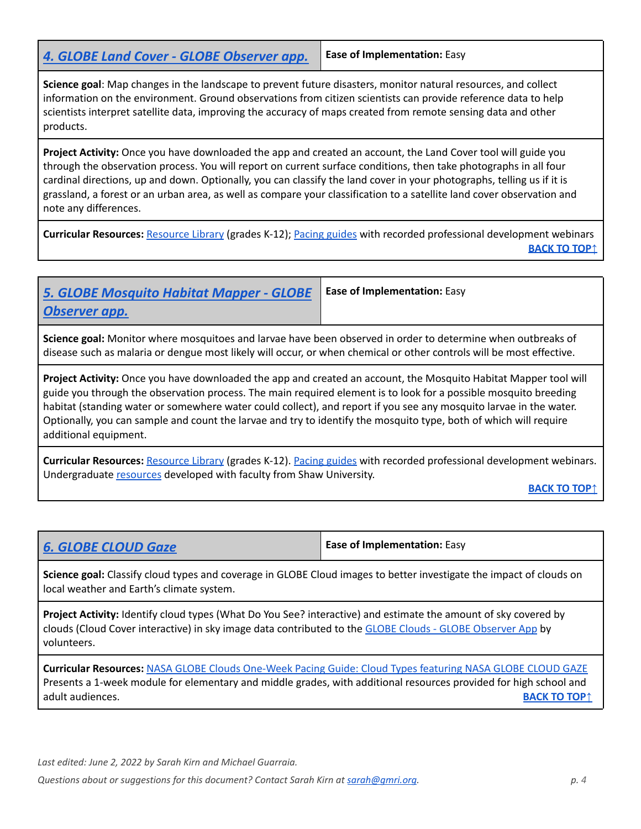<span id="page-3-0"></span>*4. GLOBE Land Cover - GLOBE [Observer](https://observer.globe.gov/do-globe-observer/land-cover) app.* **Ease of Implementation:** Easy

**Ease of Implementation:** Easy

**Science goal**: Map changes in the landscape to prevent future disasters, monitor natural resources, and collect information on the environment. Ground observations from citizen scientists can provide reference data to help scientists interpret satellite data, improving the accuracy of maps created from remote sensing data and other products.

**Project Activity:** Once you have downloaded the app and created an account, the Land Cover tool will guide you through the observation process. You will report on current surface conditions, then take photographs in all four cardinal directions, up and down. Optionally, you can classify the land cover in your photographs, telling us if it is grassland, a forest or an urban area, as well as compare your classification to a satellite land cover observation and note any differences.

**Curricular Resources:** [Resource](https://observer.globe.gov/do-globe-observer/land-cover/resource-library) Library (grades K-12); Pacing [guides](https://www.globe.gov/web/nasa-langley-research-center/home/resources) with recorded professional development webinars **[BACK](#page-0-0) TO TOP↑**

## <span id="page-3-1"></span>*5. GLOBE [Mosquito](https://observer.globe.gov/do-globe-observer/mosquito-habitats) Habitat Mapper - GLOBE [Observer](https://observer.globe.gov/do-globe-observer/mosquito-habitats) app.*

**Science goal:** Monitor where mosquitoes and larvae have been observed in order to determine when outbreaks of disease such as malaria or dengue most likely will occur, or when chemical or other controls will be most effective.

**Project Activity:** Once you have downloaded the app and created an account, the Mosquito Habitat Mapper tool will guide you through the observation process. The main required element is to look for a possible mosquito breeding habitat (standing water or somewhere water could collect), and report if you see any mosquito larvae in the water. Optionally, you can sample and count the larvae and try to identify the mosquito type, both of which will require additional equipment.

**Curricular Resources:** [Resource](https://observer.globe.gov/do-globe-observer/mosquito-habitats/resource-library) Library (grades K-12). Pacing [guides](https://www.globe.gov/web/nasa-langley-research-center/home/resources) with recorded professional development webinars. Undergraduate [resources](https://docs.google.com/document/d/1rwMct9ce4f83wonvXps1glsFWuDXvoyDfsljHjGzWpQ/edit?usp=sharing) developed with faculty from Shaw University.

**[BACK](#page-0-0) TO TOP↑**

<span id="page-3-2"></span>

| <b>6. GLOBE CLOUD Gaze</b> | <b>Ease of Implementation: Easy</b> |
|----------------------------|-------------------------------------|
|----------------------------|-------------------------------------|

**Science goal:** Classify cloud types and coverage in GLOBE Cloud images to better investigate the impact of clouds on local weather and Earth's climate system.

**Project Activity:** Identify cloud types (What Do You See? interactive) and estimate the amount of sky covered by clouds (Cloud Cover interactive) in sky image data contributed to the GLOBE Clouds - GLOBE [Observer](#page-2-1) App by volunteers.

**Curricular Resources:** NASA GLOBE Clouds [One-Week](https://www.globe.gov/documents/18527/37661214/Cloud+Types+One+Week+Pacing+Guide+Final.docx.pdf/3f8f429b-e83f-0b9f-ab03-0e49661eac0f?t=1632933915005) Pacing Guide: Cloud Types featuring NASA GLOBE CLOUD GAZE Presents a 1-week module for elementary and middle grades, with additional resources provided for high school and adult audiences. **[BACK](#page-0-0) TO TOP↑**

*Last edited: June 2, 2022 by Sarah Kirn and Michael Guarraia.*

*Questions about or suggestions for this document? Contact Sarah Kirn at [sarah@gmri.org](mailto:sarah@gmri.org). p. 4*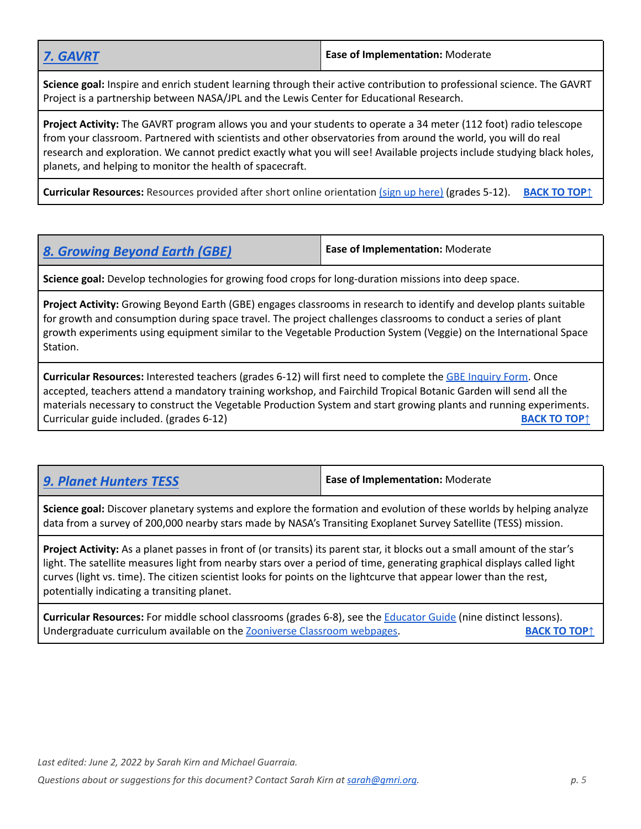**Science goal:** Inspire and enrich student learning through their active contribution to professional science. The GAVRT Project is a partnership between NASA/JPL and the Lewis Center for Educational Research.

**Project Activity:** The GAVRT program allows you and your students to operate a 34 meter (112 foot) radio telescope from your classroom. Partnered with scientists and other observatories from around the world, you will do real research and exploration. We cannot predict exactly what you will see! Available projects include studying black holes, planets, and helping to monitor the health of spacecraft.

**Curricular Resources:** Resources provided after short online orientation (sign up [here\)](http://gavrt.lewiscenter.org/Join-Us/index.html) (grades 5-12). **[BACK](#page-0-0) TO TOP↑**

<span id="page-4-0"></span>

| <b>8. Growing Beyond Earth (GBE)</b> | Ease of Implementation: Moderate |
|--------------------------------------|----------------------------------|
|--------------------------------------|----------------------------------|

**Science goal:** Develop technologies for growing food crops for long-duration missions into deep space.

**Project Activity:** Growing Beyond Earth (GBE) engages classrooms in research to identify and develop plants suitable for growth and consumption during space travel. The project challenges classrooms to conduct a series of plant growth experiments using equipment similar to the Vegetable Production System (Veggie) on the International Space Station.

**Curricular Resources:** Interested teachers (grades 6-12) will first need to complete the GBE [Inquiry](https://docs.google.com/forms/d/e/1FAIpQLSc7sAkXm6mEAjNL5jxe9AWF7W7vn-rjMbWH9_F4PjxrANIdCg/viewform) Form. Once accepted, teachers attend a mandatory training workshop, and Fairchild Tropical Botanic Garden will send all the materials necessary to construct the Vegetable Production System and start growing plants and running experiments. **Curricular guide included. (grades 6-12) [BACK](#page-0-0) <b>TO TOP**<sup>↑</sup> **BACK BACK BACK BACK BACK BACK BACK BACK BACK BACK BACK BACK BACK BACK BACK BACK BACK BACK BACK BACK BACK B** 

<span id="page-4-1"></span>*9. Planet [Hunters](https://www.zooniverse.org/projects/nora-dot-eisner/planet-hunters-tess/about/research) TESS* **Ease of Implementation:** Moderate

**Science goal:** Discover planetary systems and explore the formation and evolution of these worlds by helping analyze data from a survey of 200,000 nearby stars made by NASA's Transiting Exoplanet Survey Satellite (TESS) mission.

**Project Activity:** As a planet passes in front of (or transits) its parent star, it blocks out a small amount of the star's light. The satellite measures light from nearby stars over a period of time, generating graphical displays called light curves (light vs. time). The citizen scientist looks for points on the lightcurve that appear lower than the rest, potentially indicating a transiting planet.

**Curricular Resources:** For middle school classrooms (grades 6-8), see the [Educator](https://s3.amazonaws.com/zooniverse-resources/zoo-teach/production/uploads/resource/attachment/122/Planet_Hunters_Educator_Guide.pdf) Guide (nine distinct lessons). Undergraduate curriculum available on the [Zooniverse](https://classroom.zooniverse.org/#/activities-for-undergraduates) Classroom webpages. **[BACK](#page-0-0) TO TOP↑**